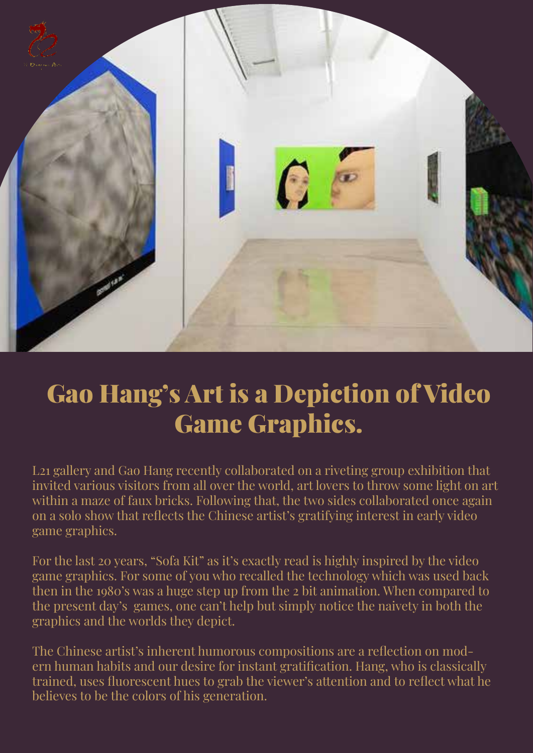

## Gao Hang's Art is a Depiction of Video Game Graphics.

L21 gallery and Gao Hang recently collaborated on a riveting group exhibition that invited various visitors from all over the world, art lovers to throw some light on art within a maze of faux bricks. Following that, the two sides collaborated once again on a solo show that reflects the Chinese artist's gratifying interest in early video game graphics.

For the last 20 years, "Sofa Kit" as it's exactly read is highly inspired by the video game graphics. For some of you who recalled the technology which was used back then in the 1980's was a huge step up from the 2 bit animation. When compared to the present day's games, one can't help but simply notice the naivety in both the graphics and the worlds they depict.

The Chinese artist's inherent humorous compositions are a reflection on modern human habits and our desire for instant gratification. Hang, who is classically trained, uses fluorescent hues to grab the viewer's attention and to reflect what he believes to be the colors of his generation.